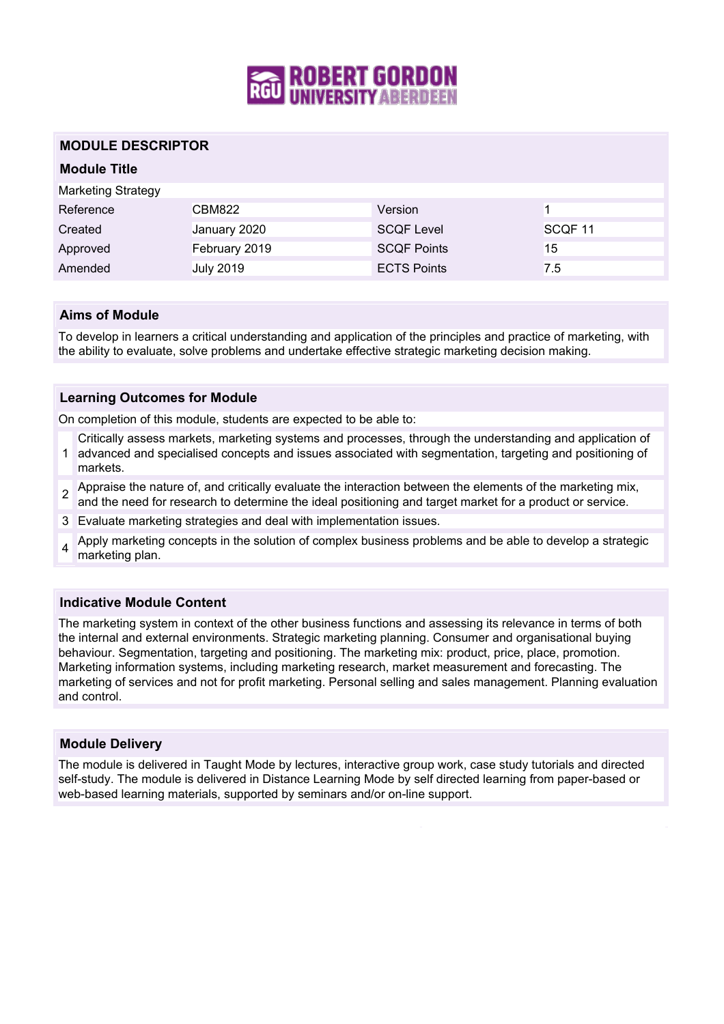

## **MODULE DESCRIPTOR**

| <b>Module Title</b>       |                  |                    |                    |
|---------------------------|------------------|--------------------|--------------------|
| <b>Marketing Strategy</b> |                  |                    |                    |
| Reference                 | CBM822           | Version            |                    |
| Created                   | January 2020     | <b>SCQF Level</b>  | SCQF <sub>11</sub> |
| Approved                  | February 2019    | <b>SCQF Points</b> | 15                 |
| Amended                   | <b>July 2019</b> | <b>ECTS Points</b> | 7.5                |

### **Aims of Module**

To develop in learners a critical understanding and application of the principles and practice of marketing, with the ability to evaluate, solve problems and undertake effective strategic marketing decision making.

### **Learning Outcomes for Module**

On completion of this module, students are expected to be able to:

Critically assess markets, marketing systems and processes, through the understanding and application of

- 1 advanced and specialised concepts and issues associated with segmentation, targeting and positioning of markets.
- 2 Appraise the nature of, and critically evaluate the interaction between the elements of the marketing mix, and the need for research to determine the ideal positioning and target market for a product or service.
- 3 Evaluate marketing strategies and deal with implementation issues.
- 4 Apply marketing concepts in the solution of complex business problems and be able to develop a strategic marketing plan.

#### **Indicative Module Content**

The marketing system in context of the other business functions and assessing its relevance in terms of both the internal and external environments. Strategic marketing planning. Consumer and organisational buying behaviour. Segmentation, targeting and positioning. The marketing mix: product, price, place, promotion. Marketing information systems, including marketing research, market measurement and forecasting. The marketing of services and not for profit marketing. Personal selling and sales management. Planning evaluation and control.

#### **Module Delivery**

The module is delivered in Taught Mode by lectures, interactive group work, case study tutorials and directed self-study. The module is delivered in Distance Learning Mode by self directed learning from paper-based or web-based learning materials, supported by seminars and/or on-line support.